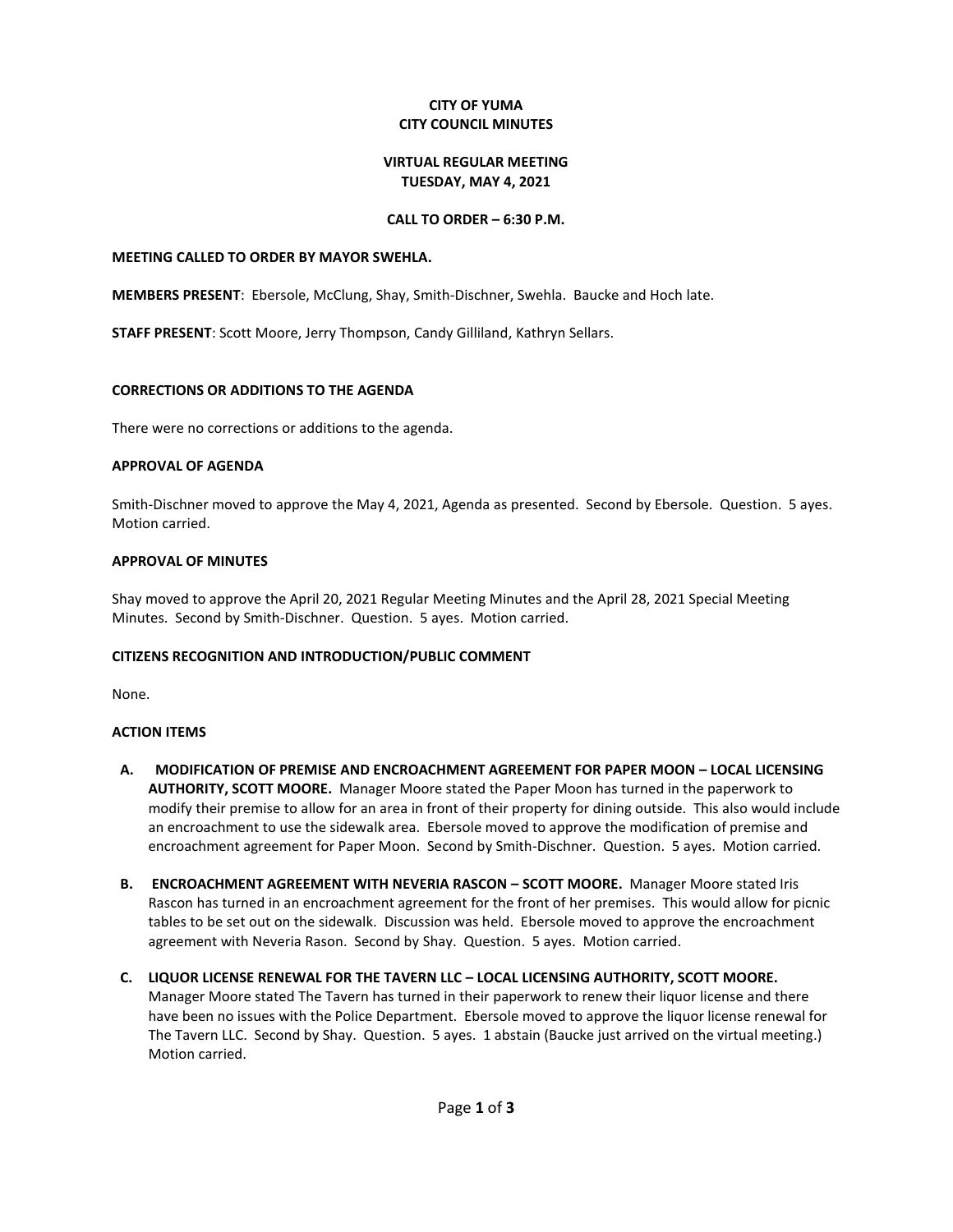## **CITY OF YUMA CITY COUNCIL MINUTES**

#### **VIRTUAL REGULAR MEETING TUESDAY, MAY 4, 2021**

## **CALL TO ORDER – 6:30 P.M.**

#### **MEETING CALLED TO ORDER BY MAYOR SWEHLA.**

**MEMBERS PRESENT**: Ebersole, McClung, Shay, Smith-Dischner, Swehla. Baucke and Hoch late.

**STAFF PRESENT**: Scott Moore, Jerry Thompson, Candy Gilliland, Kathryn Sellars.

### **CORRECTIONS OR ADDITIONS TO THE AGENDA**

There were no corrections or additions to the agenda.

### **APPROVAL OF AGENDA**

Smith-Dischner moved to approve the May 4, 2021, Agenda as presented. Second by Ebersole. Question. 5 ayes. Motion carried.

#### **APPROVAL OF MINUTES**

Shay moved to approve the April 20, 2021 Regular Meeting Minutes and the April 28, 2021 Special Meeting Minutes. Second by Smith-Dischner. Question. 5 ayes. Motion carried.

### **CITIZENS RECOGNITION AND INTRODUCTION/PUBLIC COMMENT**

None.

### **ACTION ITEMS**

- **A. MODIFICATION OF PREMISE AND ENCROACHMENT AGREEMENT FOR PAPER MOON – LOCAL LICENSING AUTHORITY, SCOTT MOORE.** Manager Moore stated the Paper Moon has turned in the paperwork to modify their premise to allow for an area in front of their property for dining outside. This also would include an encroachment to use the sidewalk area. Ebersole moved to approve the modification of premise and encroachment agreement for Paper Moon. Second by Smith-Dischner. Question. 5 ayes. Motion carried.
- **B. ENCROACHMENT AGREEMENT WITH NEVERIA RASCON – SCOTT MOORE.** Manager Moore stated Iris Rascon has turned in an encroachment agreement for the front of her premises. This would allow for picnic tables to be set out on the sidewalk. Discussion was held. Ebersole moved to approve the encroachment agreement with Neveria Rason. Second by Shay. Question. 5 ayes. Motion carried.
- **C. LIQUOR LICENSE RENEWAL FOR THE TAVERN LLC – LOCAL LICENSING AUTHORITY, SCOTT MOORE.**  Manager Moore stated The Tavern has turned in their paperwork to renew their liquor license and there have been no issues with the Police Department. Ebersole moved to approve the liquor license renewal for The Tavern LLC. Second by Shay. Question. 5 ayes. 1 abstain (Baucke just arrived on the virtual meeting.) Motion carried.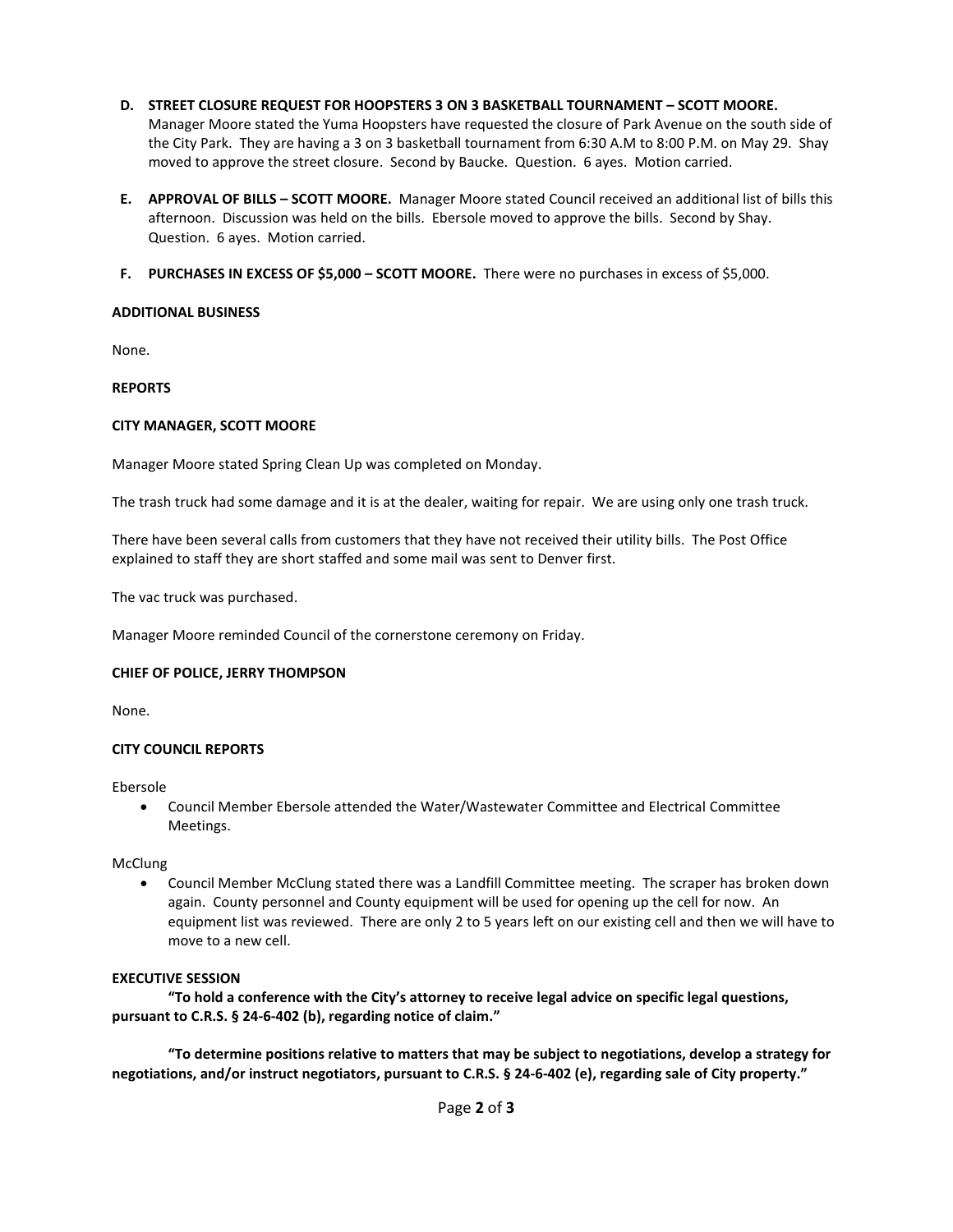- **D. STREET CLOSURE REQUEST FOR HOOPSTERS 3 ON 3 BASKETBALL TOURNAMENT – SCOTT MOORE.**  Manager Moore stated the Yuma Hoopsters have requested the closure of Park Avenue on the south side of the City Park. They are having a 3 on 3 basketball tournament from 6:30 A.M to 8:00 P.M. on May 29. Shay moved to approve the street closure. Second by Baucke. Question. 6 ayes. Motion carried.
- **E. APPROVAL OF BILLS – SCOTT MOORE.** Manager Moore stated Council received an additional list of bills this afternoon. Discussion was held on the bills. Ebersole moved to approve the bills. Second by Shay. Question. 6 ayes. Motion carried.
- **F. PURCHASES IN EXCESS OF \$5,000 – SCOTT MOORE.** There were no purchases in excess of \$5,000.

## **ADDITIONAL BUSINESS**

None.

### **REPORTS**

### **CITY MANAGER, SCOTT MOORE**

Manager Moore stated Spring Clean Up was completed on Monday.

The trash truck had some damage and it is at the dealer, waiting for repair. We are using only one trash truck.

There have been several calls from customers that they have not received their utility bills. The Post Office explained to staff they are short staffed and some mail was sent to Denver first.

The vac truck was purchased.

Manager Moore reminded Council of the cornerstone ceremony on Friday.

### **CHIEF OF POLICE, JERRY THOMPSON**

None.

### **CITY COUNCIL REPORTS**

Ebersole

• Council Member Ebersole attended the Water/Wastewater Committee and Electrical Committee Meetings.

McClung

• Council Member McClung stated there was a Landfill Committee meeting. The scraper has broken down again. County personnel and County equipment will be used for opening up the cell for now. An equipment list was reviewed. There are only 2 to 5 years left on our existing cell and then we will have to move to a new cell.

### **EXECUTIVE SESSION**

**"To hold a conference with the City's attorney to receive legal advice on specific legal questions, pursuant to C.R.S. § 24-6-402 (b), regarding notice of claim."**

**"To determine positions relative to matters that may be subject to negotiations, develop a strategy for negotiations, and/or instruct negotiators, pursuant to C.R.S. § 24-6-402 (e), regarding sale of City property."**